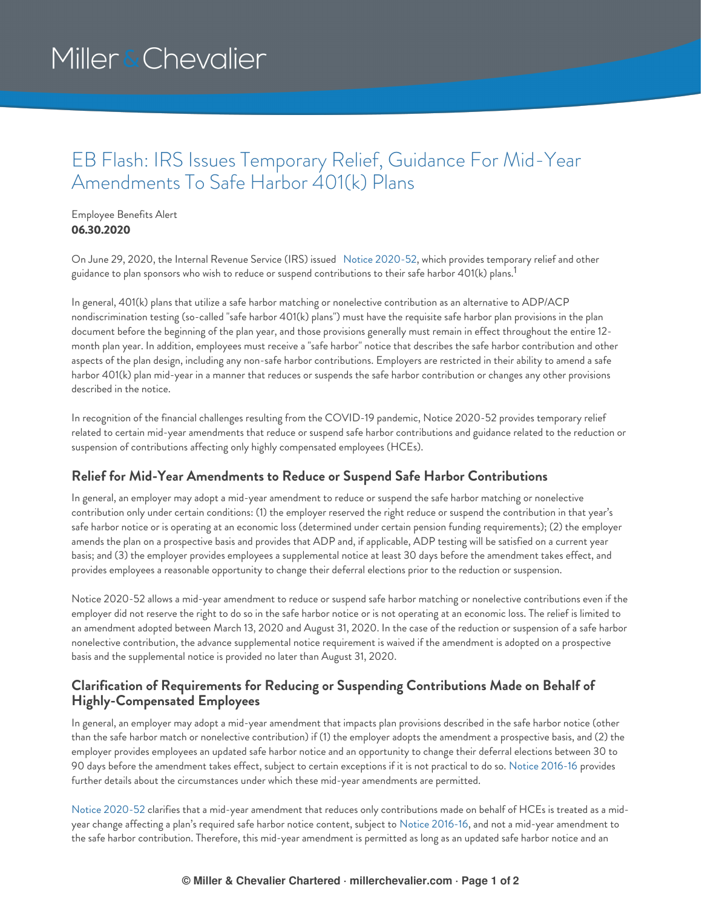# Miller & Chevalier

### EB Flash: IRS Issues Temporary Relief, Guidance For Mid-Year Amendments To Safe Harbor 401(k) Plans

#### Employee Benefits Alert **06.30.2020**

On June 29, 2020, the Internal Revenue Service (IRS) issued Notice [2020-52](https://www.irs.gov/pub/irs-drop/n-20-52.pdf), which provides temporary relief and other guidance to plan sponsors who wish to reduce or suspend contributions to their safe harbor 401(k) plans. $^{\rm 1}$ 

In general, 401(k) plans that utilize a safe harbor matching or nonelective contribution as an alternative to ADP/ACP nondiscrimination testing (so-called "safe harbor 401(k) plans") must have the requisite safe harbor plan provisions in the plan document before the beginning of the plan year, and those provisions generally must remain in effect throughout the entire 12 month plan year. In addition, employees must receive a "safe harbor" notice that describes the safe harbor contribution and other aspects of the plan design, including any non-safe harbor contributions. Employers are restricted in their ability to amend a safe harbor 401(k) plan mid-year in a manner that reduces or suspends the safe harbor contribution or changes any other provisions described in the notice.

In recognition of the financial challenges resulting from the COVID-19 pandemic, Notice 2020-52 provides temporary relief related to certain mid-year amendments that reduce or suspend safe harbor contributions and guidance related to the reduction or suspension of contributions affecting only highly compensated employees (HCEs).

#### **Relief for Mid-Year Amendments to Reduce or Suspend Safe Harbor Contributions**

In general, an employer may adopt a mid-year amendment to reduce or suspend the safe harbor matching or nonelective contribution only under certain conditions: (1) the employer reserved the right reduce or suspend the contribution in that year's safe harbor notice or is operating at an economic loss (determined under certain pension funding requirements); (2) the employer amends the plan on a prospective basis and provides that ADP and, if applicable, ADP testing will be satisfied on a current year basis; and (3) the employer provides employees a supplemental notice at least 30 days before the amendment takes effect, and provides employees a reasonable opportunity to change their deferral elections prior to the reduction or suspension.

Notice 2020-52 allows a mid-year amendment to reduce or suspend safe harbor matching or nonelective contributions even if the employer did not reserve the right to do so in the safe harbor notice or is not operating at an economic loss. The relief is limited to an amendment adopted between March 13, 2020 and August 31, 2020. In the case of the reduction or suspension of a safe harbor nonelective contribution, the advance supplemental notice requirement is waived if the amendment is adopted on a prospective basis and the supplemental notice is provided no later than August 31, 2020.

#### **Clarification of Requirements for Reducing or Suspending Contributions Made on Behalf of Highly-Compensated Employees**

In general, an employer may adopt a mid-year amendment that impacts plan provisions described in the safe harbor notice (other than the safe harbor match or nonelective contribution) if (1) the employer adopts the amendment a prospective basis, and (2) the employer provides employees an updated safe harbor notice and an opportunity to change their deferral elections between 30 to 90 days before the amendment takes effect, subject to certain exceptions if it is not practical to do so. Notice [2016-16](https://www.irs.gov/pub/irs-drop/n-16-16.pdf) provides further details about the circumstances under which these mid-year amendments are permitted.

Notice [2020-52](https://www.irs.gov/pub/irs-drop/n-20-52.pdf) clarifies that a mid-year amendment that reduces only contributions made on behalf of HCEs is treated as a midyear change affecting a plan's required safe harbor notice content, subject to Notice [2016-16](https://www.irs.gov/pub/irs-drop/n-16-16.pdf), and not a mid-year amendment to the safe harbor contribution. Therefore, this mid-year amendment is permitted as long as an updated safe harbor notice and an